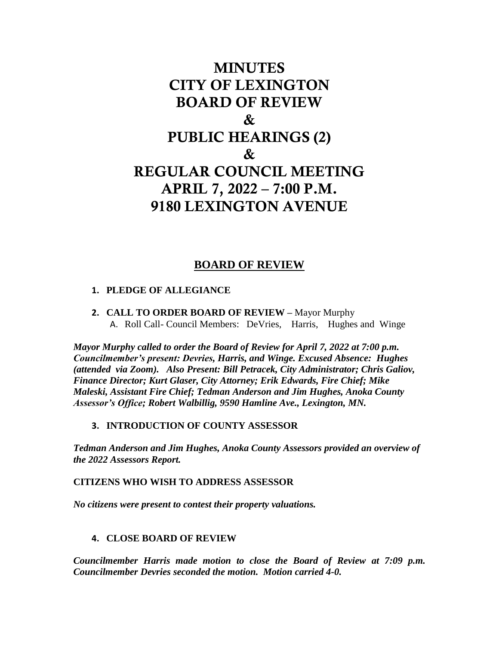# MINUTES CITY OF LEXINGTON BOARD OF REVIEW & PUBLIC HEARINGS (2) & REGULAR COUNCIL MEETING APRIL 7, 2022 – 7:00 P.M. 9180 LEXINGTON AVENUE

## **BOARD OF REVIEW**

#### **1. PLEDGE OF ALLEGIANCE**

**2. CALL TO ORDER BOARD OF REVIEW –** Mayor Murphy A. Roll Call- Council Members: DeVries, Harris, Hughes and Winge

*Mayor Murphy called to order the Board of Review for April 7, 2022 at 7:00 p.m. Councilmember's present: Devries, Harris, and Winge. Excused Absence: Hughes (attended via Zoom). Also Present: Bill Petracek, City Administrator; Chris Galiov, Finance Director; Kurt Glaser, City Attorney; Erik Edwards, Fire Chief; Mike Maleski, Assistant Fire Chief; Tedman Anderson and Jim Hughes, Anoka County Assessor's Office; Robert Walbillig, 9590 Hamline Ave., Lexington, MN.*

#### **3. INTRODUCTION OF COUNTY ASSESSOR**

*Tedman Anderson and Jim Hughes, Anoka County Assessors provided an overview of the 2022 Assessors Report.* 

**CITIZENS WHO WISH TO ADDRESS ASSESSOR**

*No citizens were present to contest their property valuations.* 

#### **4. CLOSE BOARD OF REVIEW**

*Councilmember Harris made motion to close the Board of Review at 7:09 p.m. Councilmember Devries seconded the motion. Motion carried 4-0.*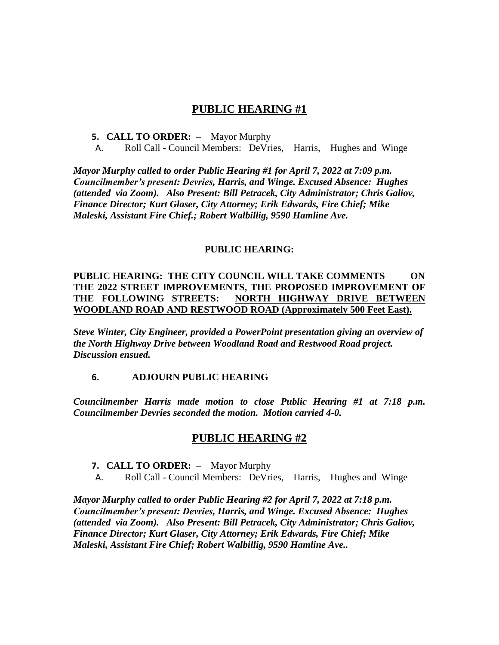## **PUBLIC HEARING #1**

#### **5. CALL TO ORDER:** – Mayor Murphy

A. Roll Call - Council Members: DeVries, Harris, Hughes and Winge

*Mayor Murphy called to order Public Hearing #1 for April 7, 2022 at 7:09 p.m. Councilmember's present: Devries, Harris, and Winge. Excused Absence: Hughes (attended via Zoom). Also Present: Bill Petracek, City Administrator; Chris Galiov, Finance Director; Kurt Glaser, City Attorney; Erik Edwards, Fire Chief; Mike Maleski, Assistant Fire Chief.; Robert Walbillig, 9590 Hamline Ave.*

#### **PUBLIC HEARING:**

#### **PUBLIC HEARING: THE CITY COUNCIL WILL TAKE COMMENTS ON THE 2022 STREET IMPROVEMENTS, THE PROPOSED IMPROVEMENT OF THE FOLLOWING STREETS: NORTH HIGHWAY DRIVE BETWEEN WOODLAND ROAD AND RESTWOOD ROAD (Approximately 500 Feet East).**

*Steve Winter, City Engineer, provided a PowerPoint presentation giving an overview of the North Highway Drive between Woodland Road and Restwood Road project. Discussion ensued.* 

#### **6. ADJOURN PUBLIC HEARING**

*Councilmember Harris made motion to close Public Hearing #1 at 7:18 p.m. Councilmember Devries seconded the motion. Motion carried 4-0.*

#### **PUBLIC HEARING #2**

- **7. CALL TO ORDER:**  Mayor Murphy
- A. Roll Call Council Members: DeVries, Harris, Hughes and Winge

*Mayor Murphy called to order Public Hearing #2 for April 7, 2022 at 7:18 p.m. Councilmember's present: Devries, Harris, and Winge. Excused Absence: Hughes (attended via Zoom). Also Present: Bill Petracek, City Administrator; Chris Galiov, Finance Director; Kurt Glaser, City Attorney; Erik Edwards, Fire Chief; Mike Maleski, Assistant Fire Chief; Robert Walbillig, 9590 Hamline Ave..*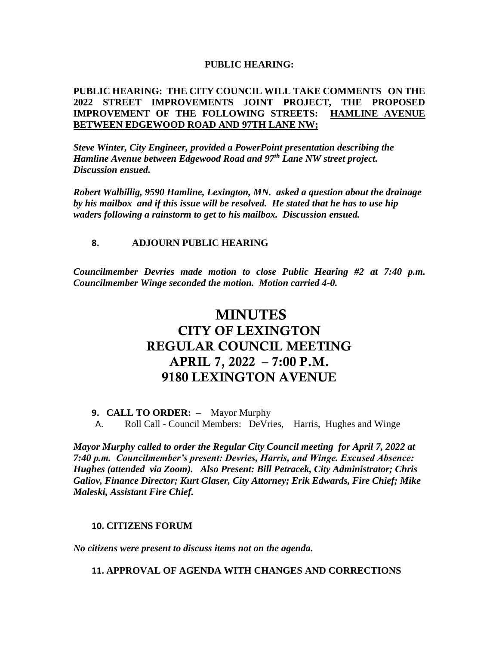#### **PUBLIC HEARING:**

#### **PUBLIC HEARING: THE CITY COUNCIL WILL TAKE COMMENTS ON THE 2022 STREET IMPROVEMENTS JOINT PROJECT, THE PROPOSED IMPROVEMENT OF THE FOLLOWING STREETS: HAMLINE AVENUE BETWEEN EDGEWOOD ROAD AND 97TH LANE NW;**

*Steve Winter, City Engineer, provided a PowerPoint presentation describing the Hamline Avenue between Edgewood Road and 97th Lane NW street project. Discussion ensued.* 

*Robert Walbillig, 9590 Hamline, Lexington, MN. asked a question about the drainage by his mailbox and if this issue will be resolved. He stated that he has to use hip waders following a rainstorm to get to his mailbox. Discussion ensued.* 

#### **8. ADJOURN PUBLIC HEARING**

*Councilmember Devries made motion to close Public Hearing #2 at 7:40 p.m. Councilmember Winge seconded the motion. Motion carried 4-0.*

## MINUTES CITY OF LEXINGTON REGULAR COUNCIL MEETING APRIL 7, 2022 – 7:00 P.M. 9180 LEXINGTON AVENUE

#### **9. CALL TO ORDER:** – Mayor Murphy

A. Roll Call - Council Members: DeVries, Harris, Hughes and Winge

*Mayor Murphy called to order the Regular City Council meeting for April 7, 2022 at 7:40 p.m. Councilmember's present: Devries, Harris, and Winge. Excused Absence: Hughes (attended via Zoom). Also Present: Bill Petracek, City Administrator; Chris Galiov, Finance Director; Kurt Glaser, City Attorney; Erik Edwards, Fire Chief; Mike Maleski, Assistant Fire Chief.*

#### **10. CITIZENS FORUM**

*No citizens were present to discuss items not on the agenda.*

**11. APPROVAL OF AGENDA WITH CHANGES AND CORRECTIONS**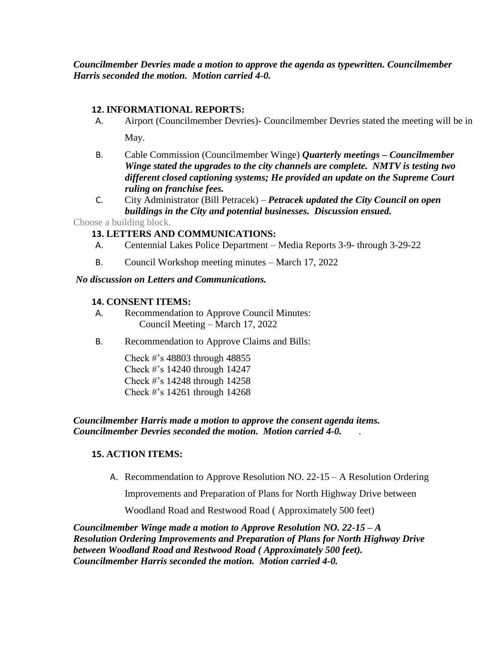*Councilmember Devries made a motion to approve the agenda as typewritten. Councilmember Harris seconded the motion. Motion carried 4-0.*

#### **12. INFORMATIONAL REPORTS:**

- A. Airport (Councilmember Devries)- Councilmember Devries stated the meeting will be in May.
- B. Cable Commission (Councilmember Winge) *Quarterly meetings – Councilmember Winge stated the upgrades to the city channels are complete. NMTV is testing two different closed captioning systems; He provided an update on the Supreme Court ruling on franchise fees.*
- C. City Administrator (Bill Petracek) *Petracek updated the City Council on open buildings in the City and potential businesses. Discussion ensued.*

Choose a building block.

## **13. LETTERS AND COMMUNICATIONS:**

- A. Centennial Lakes Police Department Media Reports 3-9- through 3-29-22
- B. Council Workshop meeting minutes March 17, 2022

## *No discussion on Letters and Communications.*

## **14. CONSENT ITEMS:**

- A. Recommendation to Approve Council Minutes: Council Meeting – March 17, 2022
- B. Recommendation to Approve Claims and Bills:

Check #'s 48803 through 48855 Check #'s 14240 through 14247 Check #'s 14248 through 14258 Check #'s 14261 through 14268

*Councilmember Harris made a motion to approve the consent agenda items. Councilmember Devries seconded the motion. Motion carried 4-0.* .

## **15. ACTION ITEMS:**

A. Recommendation to Approve Resolution NO. 22-15 – A Resolution Ordering

Improvements and Preparation of Plans for North Highway Drive between

Woodland Road and Restwood Road ( Approximately 500 feet)

*Councilmember Winge made a motion to Approve Resolution NO. 22-15 – A Resolution Ordering Improvements and Preparation of Plans for North Highway Drive between Woodland Road and Restwood Road ( Approximately 500 feet). Councilmember Harris seconded the motion. Motion carried 4-0.*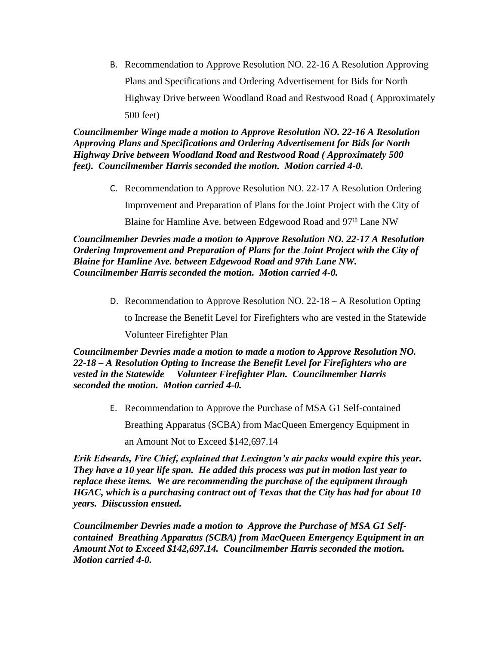B. Recommendation to Approve Resolution NO. 22-16 A Resolution Approving Plans and Specifications and Ordering Advertisement for Bids for North Highway Drive between Woodland Road and Restwood Road ( Approximately 500 feet)

*Councilmember Winge made a motion to Approve Resolution NO. 22-16 A Resolution Approving Plans and Specifications and Ordering Advertisement for Bids for North Highway Drive between Woodland Road and Restwood Road ( Approximately 500 feet). Councilmember Harris seconded the motion. Motion carried 4-0.* 

> C. Recommendation to Approve Resolution NO. 22-17 A Resolution Ordering Improvement and Preparation of Plans for the Joint Project with the City of Blaine for Hamline Ave. between Edgewood Road and 97<sup>th</sup> Lane NW

*Councilmember Devries made a motion to Approve Resolution NO. 22-17 A Resolution Ordering Improvement and Preparation of Plans for the Joint Project with the City of Blaine for Hamline Ave. between Edgewood Road and 97th Lane NW. Councilmember Harris seconded the motion. Motion carried 4-0.* 

D. Recommendation to Approve Resolution NO. 22-18 – A Resolution Opting

to Increase the Benefit Level for Firefighters who are vested in the Statewide

Volunteer Firefighter Plan

*Councilmember Devries made a motion to made a motion to Approve Resolution NO. 22-18 – A Resolution Opting to Increase the Benefit Level for Firefighters who are vested in the Statewide Volunteer Firefighter Plan. Councilmember Harris seconded the motion. Motion carried 4-0.* 

E. Recommendation to Approve the Purchase of MSA G1 Self-contained

Breathing Apparatus (SCBA) from MacQueen Emergency Equipment in

an Amount Not to Exceed \$142,697.14

*Erik Edwards, Fire Chief, explained that Lexington's air packs would expire this year. They have a 10 year life span. He added this process was put in motion last year to replace these items. We are recommending the purchase of the equipment through HGAC, which is a purchasing contract out of Texas that the City has had for about 10 years. Diiscussion ensued.* 

*Councilmember Devries made a motion to Approve the Purchase of MSA G1 Selfcontained Breathing Apparatus (SCBA) from MacQueen Emergency Equipment in an Amount Not to Exceed \$142,697.14. Councilmember Harris seconded the motion. Motion carried 4-0.*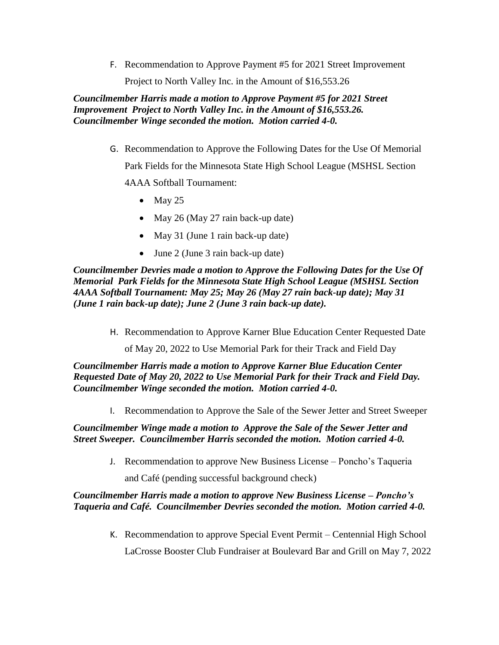F. Recommendation to Approve Payment #5 for 2021 Street Improvement Project to North Valley Inc. in the Amount of \$16,553.26

*Councilmember Harris made a motion to Approve Payment #5 for 2021 Street Improvement Project to North Valley Inc. in the Amount of \$16,553.26. Councilmember Winge seconded the motion. Motion carried 4-0.* 

G. Recommendation to Approve the Following Dates for the Use Of Memorial

Park Fields for the Minnesota State High School League (MSHSL Section

4AAA Softball Tournament:

- $\bullet$  May 25
- May 26 (May 27 rain back-up date)
- May 31 (June 1 rain back-up date)
- June 2 (June 3 rain back-up date)

*Councilmember Devries made a motion to Approve the Following Dates for the Use Of Memorial Park Fields for the Minnesota State High School League (MSHSL Section 4AAA Softball Tournament: May 25; May 26 (May 27 rain back-up date); May 31 (June 1 rain back-up date); June 2 (June 3 rain back-up date).*

H. Recommendation to Approve Karner Blue Education Center Requested Date

of May 20, 2022 to Use Memorial Park for their Track and Field Day

*Councilmember Harris made a motion to Approve Karner Blue Education Center Requested Date of May 20, 2022 to Use Memorial Park for their Track and Field Day. Councilmember Winge seconded the motion. Motion carried 4-0.* 

I. Recommendation to Approve the Sale of the Sewer Jetter and Street Sweeper

*Councilmember Winge made a motion to Approve the Sale of the Sewer Jetter and Street Sweeper. Councilmember Harris seconded the motion. Motion carried 4-0.* 

J. Recommendation to approve New Business License – Poncho's Taqueria

and Café (pending successful background check)

*Councilmember Harris made a motion to approve New Business License – Poncho's Taqueria and Café. Councilmember Devries seconded the motion. Motion carried 4-0.* 

K. Recommendation to approve Special Event Permit – Centennial High School

LaCrosse Booster Club Fundraiser at Boulevard Bar and Grill on May 7, 2022